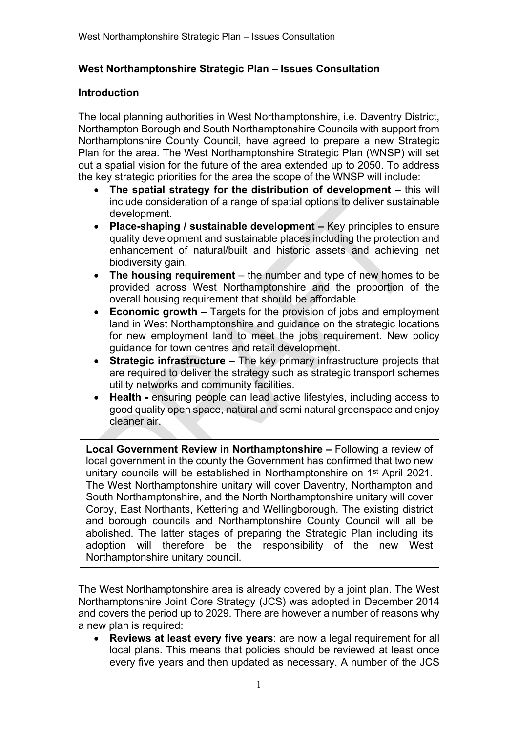# **West Northamptonshire Strategic Plan – Issues Consultation**

## **Introduction**

The local planning authorities in West Northamptonshire, i.e. Daventry District, Northampton Borough and South Northamptonshire Councils with support from Northamptonshire County Council, have agreed to prepare a new Strategic Plan for the area. The West Northamptonshire Strategic Plan (WNSP) will set out a spatial vision for the future of the area extended up to 2050. To address the key strategic priorities for the area the scope of the WNSP will include:

- **The spatial strategy for the distribution of development** this will include consideration of a range of spatial options to deliver sustainable development.
- **Place-shaping / sustainable development –** Key principles to ensure quality development and sustainable places including the protection and enhancement of natural/built and historic assets and achieving net biodiversity gain.
- **The housing requirement** the number and type of new homes to be provided across West Northamptonshire and the proportion of the overall housing requirement that should be affordable.
- **Economic growth** Targets for the provision of jobs and employment land in West Northamptonshire and guidance on the strategic locations for new employment land to meet the jobs requirement. New policy guidance for town centres and retail development.
- **Strategic infrastructure** The key primary infrastructure projects that are required to deliver the strategy such as strategic transport schemes utility networks and community facilities.
- **Health -** ensuring people can lead active lifestyles, including access to good quality open space, natural and semi natural greenspace and enjoy cleaner air.

**Local Government Review in Northamptonshire –** Following a review of local government in the county the Government has confirmed that two new unitary councils will be established in Northamptonshire on 1<sup>st</sup> April 2021. The West Northamptonshire unitary will cover Daventry, Northampton and South Northamptonshire, and the North Northamptonshire unitary will cover Corby, East Northants, Kettering and Wellingborough. The existing district and borough councils and Northamptonshire County Council will all be abolished. The latter stages of preparing the Strategic Plan including its adoption will therefore be the responsibility of the new West Northamptonshire unitary council.

The West Northamptonshire area is already covered by a joint plan. The West Northamptonshire Joint Core Strategy (JCS) was adopted in December 2014 and covers the period up to 2029. There are however a number of reasons why a new plan is required:

 **Reviews at least every five years**: are now a legal requirement for all local plans. This means that policies should be reviewed at least once every five years and then updated as necessary. A number of the JCS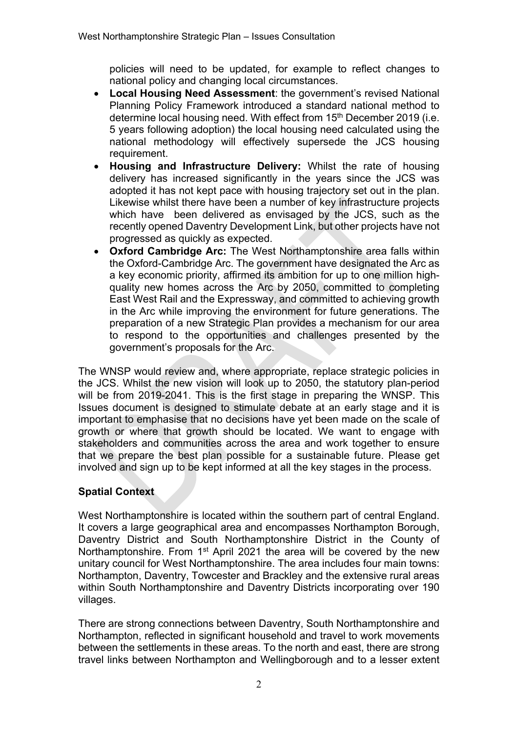policies will need to be updated, for example to reflect changes to national policy and changing local circumstances.

- **Local Housing Need Assessment**: the government's revised National Planning Policy Framework introduced a standard national method to determine local housing need. With effect from 15<sup>th</sup> December 2019 (i.e. 5 years following adoption) the local housing need calculated using the national methodology will effectively supersede the JCS housing requirement.
- **Housing and Infrastructure Delivery:** Whilst the rate of housing delivery has increased significantly in the years since the JCS was adopted it has not kept pace with housing trajectory set out in the plan. Likewise whilst there have been a number of key infrastructure projects which have been delivered as envisaged by the JCS, such as the recently opened Daventry Development Link, but other projects have not progressed as quickly as expected.
- **Oxford Cambridge Arc:** The West Northamptonshire area falls within the Oxford-Cambridge Arc. The government have designated the Arc as a key economic priority, affirmed its ambition for up to one million highquality new homes across the Arc by 2050, committed to completing East West Rail and the Expressway, and committed to achieving growth in the Arc while improving the environment for future generations. The preparation of a new Strategic Plan provides a mechanism for our area to respond to the opportunities and challenges presented by the government's proposals for the Arc.

The WNSP would review and, where appropriate, replace strategic policies in the JCS. Whilst the new vision will look up to 2050, the statutory plan-period will be from 2019-2041. This is the first stage in preparing the WNSP. This Issues document is designed to stimulate debate at an early stage and it is important to emphasise that no decisions have yet been made on the scale of growth or where that growth should be located. We want to engage with stakeholders and communities across the area and work together to ensure that we prepare the best plan possible for a sustainable future. Please get involved and sign up to be kept informed at all the key stages in the process.

# **Spatial Context**

West Northamptonshire is located within the southern part of central England. It covers a large geographical area and encompasses Northampton Borough, Daventry District and South Northamptonshire District in the County of Northamptonshire. From 1<sup>st</sup> April 2021 the area will be covered by the new unitary council for West Northamptonshire. The area includes four main towns: Northampton, Daventry, Towcester and Brackley and the extensive rural areas within South Northamptonshire and Daventry Districts incorporating over 190 villages.

There are strong connections between Daventry, South Northamptonshire and Northampton, reflected in significant household and travel to work movements between the settlements in these areas. To the north and east, there are strong travel links between Northampton and Wellingborough and to a lesser extent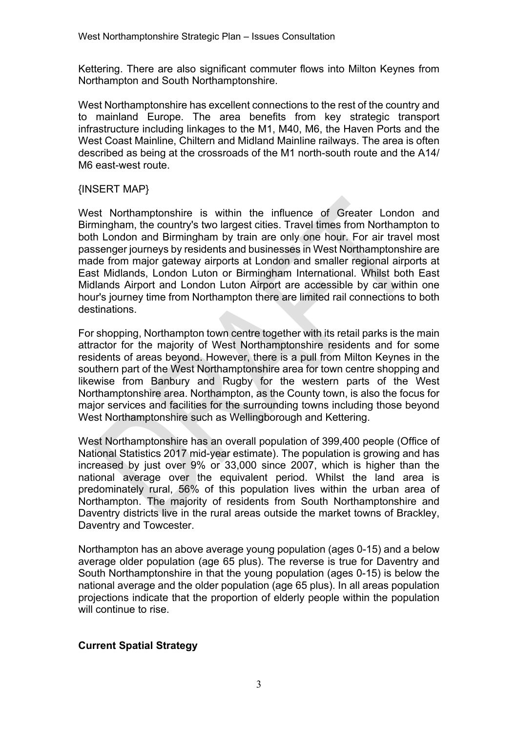Kettering. There are also significant commuter flows into Milton Keynes from Northampton and South Northamptonshire.

West Northamptonshire has excellent connections to the rest of the country and to mainland Europe. The area benefits from key strategic transport infrastructure including linkages to the M1, M40, M6, the Haven Ports and the West Coast Mainline, Chiltern and Midland Mainline railways. The area is often described as being at the crossroads of the M1 north-south route and the A14/ M6 east-west route.

## {INSERT MAP}

West Northamptonshire is within the influence of Greater London and Birmingham, the country's two largest cities. Travel times from Northampton to both London and Birmingham by train are only one hour. For air travel most passenger journeys by residents and businesses in West Northamptonshire are made from major gateway airports at London and smaller regional airports at East Midlands, London Luton or Birmingham International. Whilst both East Midlands Airport and London Luton Airport are accessible by car within one hour's journey time from Northampton there are limited rail connections to both destinations.

For shopping, Northampton town centre together with its retail parks is the main attractor for the majority of West Northamptonshire residents and for some residents of areas beyond. However, there is a pull from Milton Keynes in the southern part of the West Northamptonshire area for town centre shopping and likewise from Banbury and Rugby for the western parts of the West Northamptonshire area. Northampton, as the County town, is also the focus for major services and facilities for the surrounding towns including those beyond West Northamptonshire such as Wellingborough and Kettering.

West Northamptonshire has an overall population of 399,400 people (Office of National Statistics 2017 mid-year estimate). The population is growing and has increased by just over 9% or 33,000 since 2007, which is higher than the national average over the equivalent period. Whilst the land area is predominately rural, 56% of this population lives within the urban area of Northampton. The majority of residents from South Northamptonshire and Daventry districts live in the rural areas outside the market towns of Brackley, Daventry and Towcester.

Northampton has an above average young population (ages 0-15) and a below average older population (age 65 plus). The reverse is true for Daventry and South Northamptonshire in that the young population (ages 0-15) is below the national average and the older population (age 65 plus). In all areas population projections indicate that the proportion of elderly people within the population will continue to rise.

# **Current Spatial Strategy**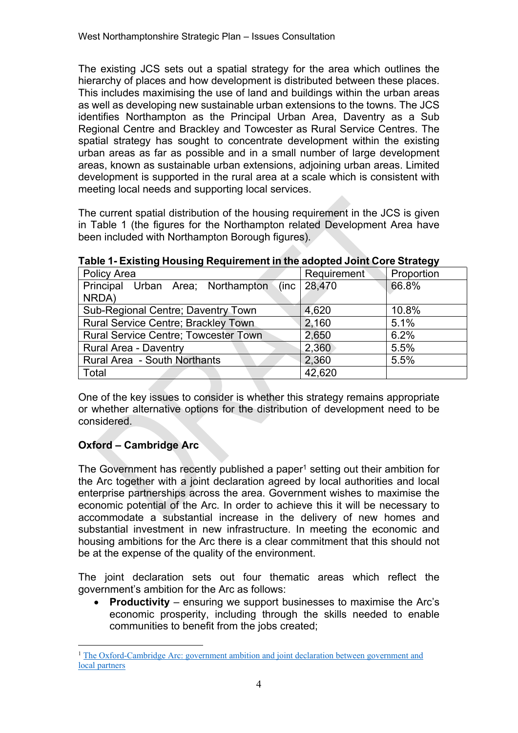The existing JCS sets out a spatial strategy for the area which outlines the hierarchy of places and how development is distributed between these places. This includes maximising the use of land and buildings within the urban areas as well as developing new sustainable urban extensions to the towns. The JCS identifies Northampton as the Principal Urban Area, Daventry as a Sub Regional Centre and Brackley and Towcester as Rural Service Centres. The spatial strategy has sought to concentrate development within the existing urban areas as far as possible and in a small number of large development areas, known as sustainable urban extensions, adjoining urban areas. Limited development is supported in the rural area at a scale which is consistent with meeting local needs and supporting local services.

The current spatial distribution of the housing requirement in the JCS is given in Table 1 (the figures for the Northampton related Development Area have been included with Northampton Borough figures).

|                                      |                | . .        |
|--------------------------------------|----------------|------------|
| Policy Area                          | Requirement    | Proportion |
| Principal Urban Area; Northampton    | (inc   28,470) | 66.8%      |
| NRDA)                                |                |            |
| Sub-Regional Centre; Daventry Town   | 4,620          | 10.8%      |
| Rural Service Centre; Brackley Town. | 2,160          | 5.1%       |
| Rural Service Centre; Towcester Town | 2,650          | 6.2%       |
| Rural Area - Daventry                | 2,360          | 5.5%       |
| Rural Area - South Northants         | 2,360          | 5.5%       |
| Total                                | 42,620         |            |

**Table 1- Existing Housing Requirement in the adopted Joint Core Strategy**

One of the key issues to consider is whether this strategy remains appropriate or whether alternative options for the distribution of development need to be considered.

# **Oxford – Cambridge Arc**

The Government has recently published a paper<sup>1</sup> setting out their ambition for the Arc together with a joint declaration agreed by local authorities and local enterprise partnerships across the area. Government wishes to maximise the economic potential of the Arc. In order to achieve this it will be necessary to accommodate a substantial increase in the delivery of new homes and substantial investment in new infrastructure. In meeting the economic and housing ambitions for the Arc there is a clear commitment that this should not be at the expense of the quality of the environment.

The joint declaration sets out four thematic areas which reflect the government's ambition for the Arc as follows:

 **Productivity** – ensuring we support businesses to maximise the Arc's economic prosperity, including through the skills needed to enable communities to benefit from the jobs created;

<sup>1</sup> The [Oxford-Cambridge](https://assets.publishing.service.gov.uk/government/uploads/system/uploads/attachment_data/file/799993/OxCam_Arc_Ambition.pdf) Arc: government ambition and joint declaration between government and local [partners](https://assets.publishing.service.gov.uk/government/uploads/system/uploads/attachment_data/file/799993/OxCam_Arc_Ambition.pdf)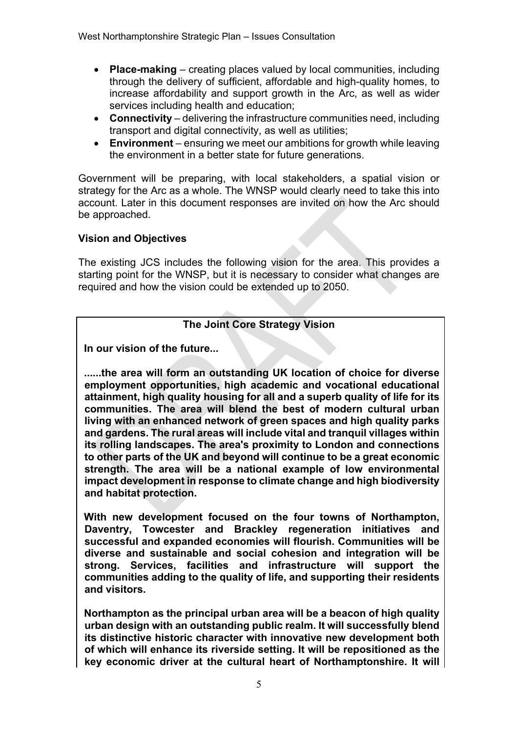- **Place-making** creating places valued by local communities, including through the delivery of sufficient, affordable and high-quality homes, to increase affordability and support growth in the Arc, as well as wider services including health and education;
- **Connectivity** delivering the infrastructure communities need, including transport and digital connectivity, as well as utilities;
- **Environment** ensuring we meet our ambitions for growth while leaving the environment in a better state for future generations.

Government will be preparing, with local stakeholders, a spatial vision or strategy for the Arc as a whole. The WNSP would clearly need to take this into account. Later in this document responses are invited on how the Arc should be approached.

## **Vision and Objectives**

The existing JCS includes the following vision for the area. This provides a starting point for the WNSP, but it is necessary to consider what changes are required and how the vision could be extended up to 2050.

# **The Joint Core Strategy Vision**

 **In our vision of the future...**

 **......the area will form an outstanding UK location of choice for diverse employment opportunities, high academic and vocational educational attainment, high quality housing for all and a superb quality of life for its communities. The area will blend the best of modern cultural urban living with an enhanced network of green spaces and high quality parks and gardens. The rural areas will include vital and tranquil villages within its rolling landscapes. The area's proximity to London and connections to other parts of the UK and beyond will continue to be a great economic strength. The area will be a national example of low environmental impact development in response to climate change and high biodiversity and habitat protection.**

 **With new development focused on the four towns of Northampton, Daventry, Towcester and Brackley regeneration initiatives and successful and expanded economies will flourish. Communities will be diverse and sustainable and social cohesion and integration will be strong. Services, facilities and infrastructure will support the communities adding to the quality of life, and supporting their residents and visitors.**

 **Northampton as the principal urban area will be a beacon of high quality urban design with an outstanding public realm. It will successfully blend its distinctive historic character with innovative new development both of which will enhance its riverside setting. It will be repositioned as the key economic driver at the cultural heart of Northamptonshire. It will**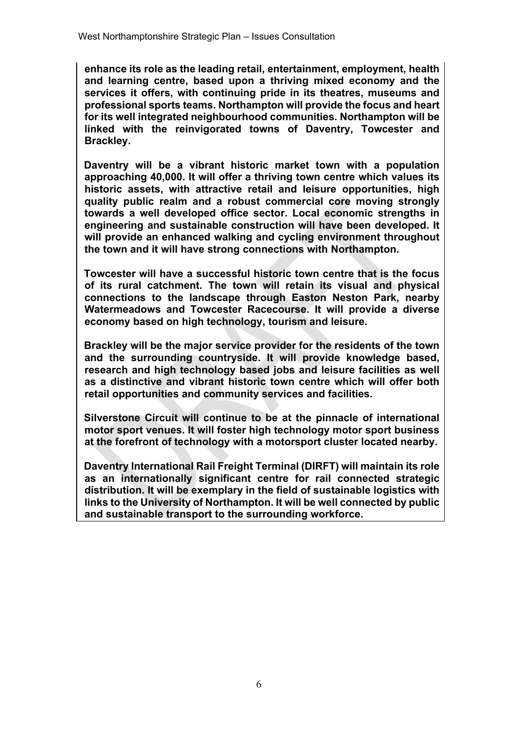**enhance its role as the leading retail, entertainment, employment, health and learning centre, based upon a thriving mixed economy and the services it offers, with continuing pride in its theatres, museums and professional sports teams. Northampton will provide the focus and heart for its well integrated neighbourhood communities. Northampton will be linked with the reinvigorated towns of Daventry, Towcester and Brackley.**

 **Daventry will be a vibrant historic market town with a population approaching 40,000. It will offer a thriving town centre which values its historic assets, with attractive retail and leisure opportunities, high quality public realm and a robust commercial core moving strongly towards a well developed office sector. Local economic strengths in engineering and sustainable construction will have been developed. It will provide an enhanced walking and cycling environment throughout the town and it will have strong connections with Northampton.**

 **Towcester will have a successful historic town centre that is the focus of its rural catchment. The town will retain its visual and physical connections to the landscape through Easton Neston Park, nearby Watermeadows and Towcester Racecourse. It will provide a diverse economy based on high technology, tourism and leisure.**

 **Brackley will be the major service provider for the residents of the town and the surrounding countryside. It will provide knowledge based, research and high technology based jobs and leisure facilities as well as a distinctive and vibrant historic town centre which will offer both retail opportunities and community services and facilities.**

 **Silverstone Circuit will continue to be at the pinnacle of international motor sport venues. It will foster high technology motor sport business at the forefront of technology with a motorsport cluster located nearby.**

 **Daventry International Rail Freight Terminal (DIRFT) will maintain its role as an internationally significant centre for rail connected strategic distribution. It will be exemplary in the field of sustainable logistics with links to the University of Northampton. It will be well connected by public and sustainable transport to the surrounding workforce.**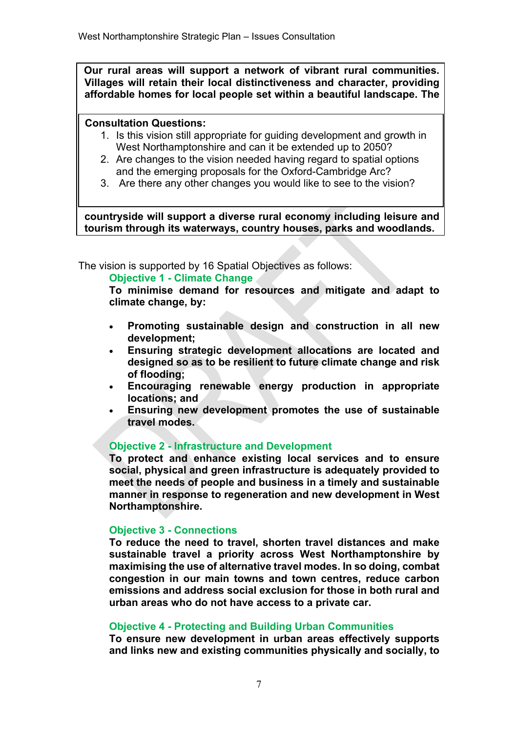**Our rural areas will support a network of vibrant rural communities. Villages will retain their local distinctiveness and character, providing affordable homes for local people set within a beautiful landscape. The**

### **Consultation Questions:**

- 1. Is this vision still appropriate for guiding development and growth in West Northamptonshire and can it be extended up to 2050?
- 2. Are changes to the vision needed having regard to spatial options and the emerging proposals for the Oxford-Cambridge Arc?
- 3. Are there any other changes you would like to see to the vision?

**countryside will support a diverse rural economy including leisure and tourism through its waterways, country houses, parks and woodlands.**

The vision is supported by 16 Spatial Objectives as follows:

### **Objective 1 - Climate Change**

**To minimise demand for resources and mitigate and adapt to climate change, by:**

- **Promoting sustainable design and construction in all new development;**
- **Ensuring strategic development allocations are located and designed so as to be resilient to future climate change and risk of flooding;**
- **Encouraging renewable energy production in appropriate locations; and**
- **Ensuring new development promotes the use of sustainable travel modes.**

## **Objective 2 - Infrastructure and Development**

**To protect and enhance existing local services and to ensure social, physical and green infrastructure is adequately provided to meet the needs of people and business in a timely and sustainable manner in response to regeneration and new development in West Northamptonshire.**

## **Objective 3 - Connections**

**To reduce the need to travel, shorten travel distances and make sustainable travel a priority across West Northamptonshire by maximising the use of alternative travel modes. In so doing, combat congestion in our main towns and town centres, reduce carbon emissions and address social exclusion for those in both rural and urban areas who do not have access to a private car.**

## **Objective 4 - Protecting and Building Urban Communities**

**To ensure new development in urban areas effectively supports and links new and existing communities physically and socially, to**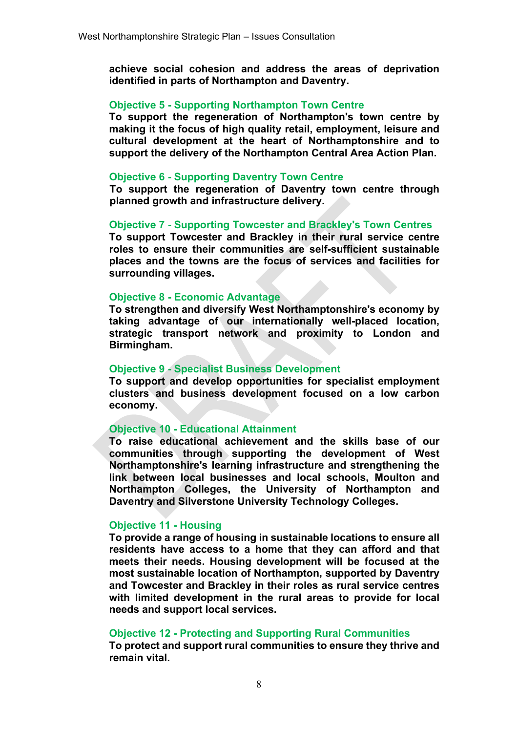**achieve social cohesion and address the areas of deprivation identified in parts of Northampton and Daventry.**

#### **Objective 5 - Supporting Northampton Town Centre**

**To support the regeneration of Northampton's town centre by making it the focus of high quality retail, employment, leisure and cultural development at the heart of Northamptonshire and to support the delivery of the Northampton Central Area Action Plan.**

#### **Objective 6 - Supporting Daventry Town Centre**

**To support the regeneration of Daventry town centre through planned growth and infrastructure delivery.**

#### **Objective 7 - Supporting Towcester and Brackley's Town Centres**

**To support Towcester and Brackley in their rural service centre roles to ensure their communities are self-sufficient sustainable places and the towns are the focus of services and facilities for surrounding villages.**

#### **Objective 8 - Economic Advantage**

**To strengthen and diversify West Northamptonshire's economy by taking advantage of our internationally well-placed location, strategic transport network and proximity to London and Birmingham.**

### **Objective 9 - Specialist Business Development**

**To support and develop opportunities for specialist employment clusters and business development focused on a low carbon economy.**

### **Objective 10 - Educational Attainment**

**To raise educational achievement and the skills base of our communities through supporting the development of West Northamptonshire's learning infrastructure and strengthening the link between local businesses and local schools, Moulton and Northampton Colleges, the University of Northampton and Daventry and Silverstone University Technology Colleges.**

#### **Objective 11 - Housing**

**To provide a range of housing in sustainable locations to ensure all residents have access to a home that they can afford and that meets their needs. Housing development will be focused at the most sustainable location of Northampton, supported by Daventry and Towcester and Brackley in their roles as rural service centres with limited development in the rural areas to provide for local needs and support local services.**

#### **Objective 12 - Protecting and Supporting Rural Communities**

**To protect and support rural communities to ensure they thrive and remain vital.**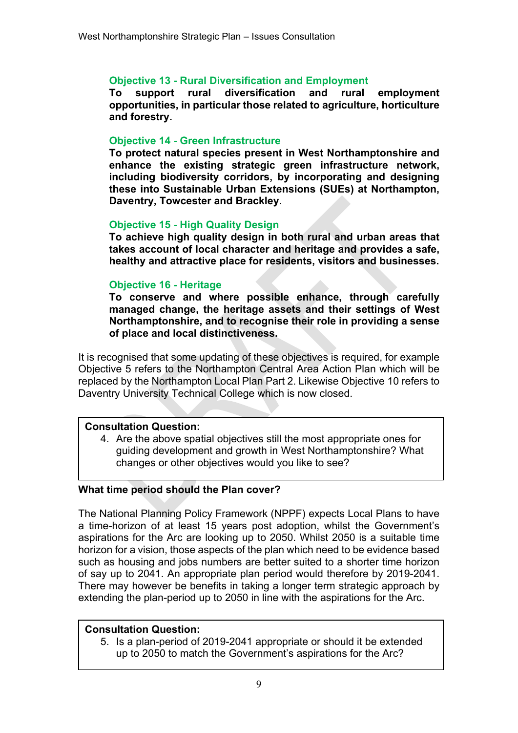## **Objective 13 - Rural Diversification and Employment**

**To support rural diversification and rural employment opportunities, in particular those related to agriculture, horticulture and forestry.**

### **Objective 14 - Green Infrastructure**

**To protect natural species present in West Northamptonshire and enhance the existing strategic green infrastructure network, including biodiversity corridors, by incorporating and designing these into Sustainable Urban Extensions (SUEs) at Northampton, Daventry, Towcester and Brackley.**

## **Objective 15 - High Quality Design**

**To achieve high quality design in both rural and urban areas that takes account of local character and heritage and provides a safe, healthy and attractive place for residents, visitors and businesses.**

### **Objective 16 - Heritage**

**To conserve and where possible enhance, through carefully managed change, the heritage assets and their settings of West Northamptonshire, and to recognise their role in providing a sense of place and local distinctiveness.**

It is recognised that some updating of these objectives is required, for example Objective 5 refers to the Northampton Central Area Action Plan which will be replaced by the Northampton Local Plan Part 2. Likewise Objective 10 refers to Daventry University Technical College which is now closed.

#### **Consultation Question:**

4. Are the above spatial objectives still the most appropriate ones for guiding development and growth in West Northamptonshire? What changes or other objectives would you like to see?

#### **What time period should the Plan cover?**

The National Planning Policy Framework (NPPF) expects Local Plans to have a time-horizon of at least 15 years post adoption, whilst the Government's aspirations for the Arc are looking up to 2050. Whilst 2050 is a suitable time horizon for a vision, those aspects of the plan which need to be evidence based such as housing and jobs numbers are better suited to a shorter time horizon of say up to 2041. An appropriate plan period would therefore by 2019-2041. There may however be benefits in taking a longer term strategic approach by extending the plan-period up to 2050 in line with the aspirations for the Arc.

#### **Consultation Question:**

5. Is a plan-period of 2019-2041 appropriate or should it be extended up to 2050 to match the Government's aspirations for the Arc?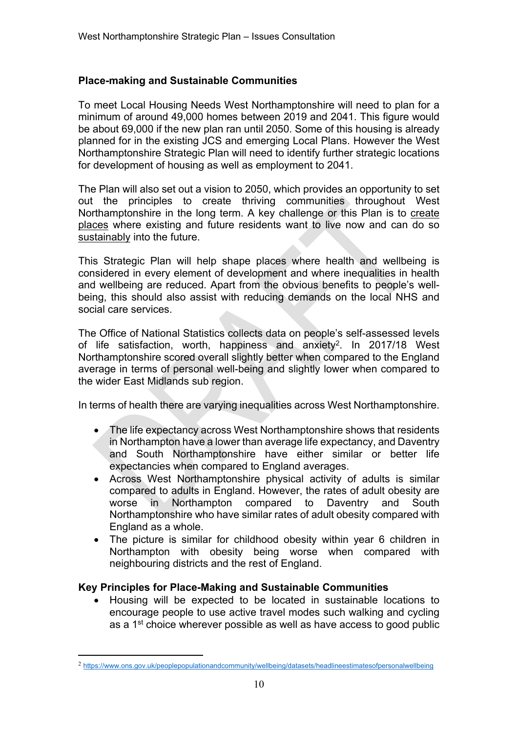## **Place-making and Sustainable Communities**

To meet Local Housing Needs West Northamptonshire will need to plan for a minimum of around 49,000 homes between 2019 and 2041. This figure would be about 69,000 if the new plan ran until 2050. Some of this housing is already planned for in the existing JCS and emerging Local Plans. However the West Northamptonshire Strategic Plan will need to identify further strategic locations for development of housing as well as employment to 2041.

The Plan will also set out a vision to 2050, which provides an opportunity to set out the principles to create thriving communities throughout West Northamptonshire in the long term. A key challenge or this Plan is to create places where existing and future residents want to live now and can do so sustainably into the future.

This Strategic Plan will help shape places where health and wellbeing is considered in every element of development and where inequalities in health and wellbeing are reduced. Apart from the obvious benefits to people's wellbeing, this should also assist with reducing demands on the local NHS and social care services.

The Office of National Statistics collects data on people's self-assessed levels of life satisfaction, worth, happiness and anxiety<sup>2</sup>. In 2017/18 West Northamptonshire scored overall slightly better when compared to the England average in terms of personal well-being and slightly lower when compared to the wider East Midlands sub region.

In terms of health there are varying inequalities across West Northamptonshire.

- The life expectancy across West Northamptonshire shows that residents in Northampton have a lower than average life expectancy, and Daventry and South Northamptonshire have either similar or better life expectancies when compared to England averages.
- Across West Northamptonshire physical activity of adults is similar compared to adults in England. However, the rates of adult obesity are worse in Northampton compared to Daventry and South Northamptonshire who have similar rates of adult obesity compared with England as a whole.
- The picture is similar for childhood obesity within year 6 children in Northampton with obesity being worse when compared with neighbouring districts and the rest of England.

## **Key Principles for Place-Making and Sustainable Communities**

 Housing will be expected to be located in sustainable locations to encourage people to use active travel modes such walking and cycling as a 1<sup>st</sup> choice wherever possible as well as have access to good public

<sup>2</sup> <https://www.ons.gov.uk/peoplepopulationandcommunity/wellbeing/datasets/headlineestimatesofpersonalwellbeing>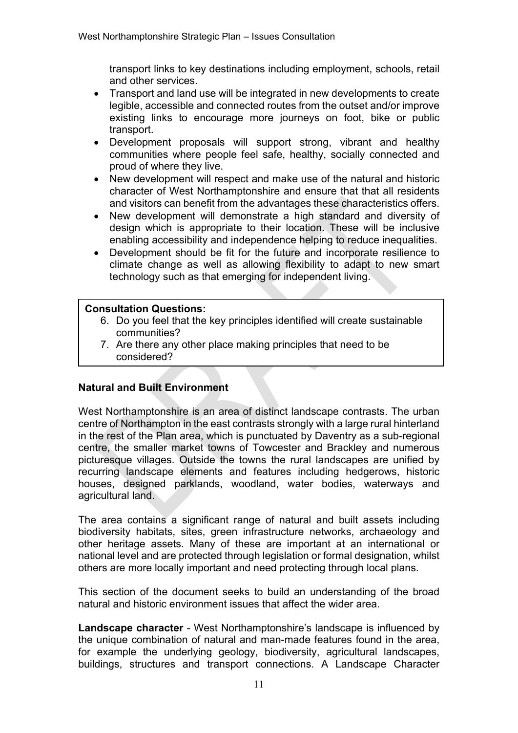transport links to key destinations including employment, schools, retail and other services.

- Transport and land use will be integrated in new developments to create legible, accessible and connected routes from the outset and/or improve existing links to encourage more journeys on foot, bike or public transport.
- Development proposals will support strong, vibrant and healthy communities where people feel safe, healthy, socially connected and proud of where they live.
- New development will respect and make use of the natural and historic character of West Northamptonshire and ensure that that all residents and visitors can benefit from the advantages these characteristics offers.
- New development will demonstrate a high standard and diversity of design which is appropriate to their location. These will be inclusive enabling accessibility and independence helping to reduce inequalities.
- Development should be fit for the future and incorporate resilience to climate change as well as allowing flexibility to adapt to new smart technology such as that emerging for independent living.

## **Consultation Questions:**

- 6. Do you feel that the key principles identified will create sustainable communities?
- 7. Are there any other place making principles that need to be considered?

# **Natural and Built Environment**

West Northamptonshire is an area of distinct landscape contrasts. The urban centre of Northampton in the east contrasts strongly with a large rural hinterland in the rest of the Plan area, which is punctuated by Daventry as a sub-regional centre, the smaller market towns of Towcester and Brackley and numerous picturesque villages. Outside the towns the rural landscapes are unified by recurring landscape elements and features including hedgerows, historic houses, designed parklands, woodland, water bodies, waterways and agricultural land.

The area contains a significant range of natural and built assets including biodiversity habitats, sites, green infrastructure networks, archaeology and other heritage assets. Many of these are important at an international or national level and are protected through legislation or formal designation, whilst others are more locally important and need protecting through local plans.

This section of the document seeks to build an understanding of the broad natural and historic environment issues that affect the wider area.

**Landscape character** - West Northamptonshire's landscape is influenced by the unique combination of natural and man-made features found in the area, for example the underlying geology, biodiversity, agricultural landscapes, buildings, structures and transport connections. A Landscape Character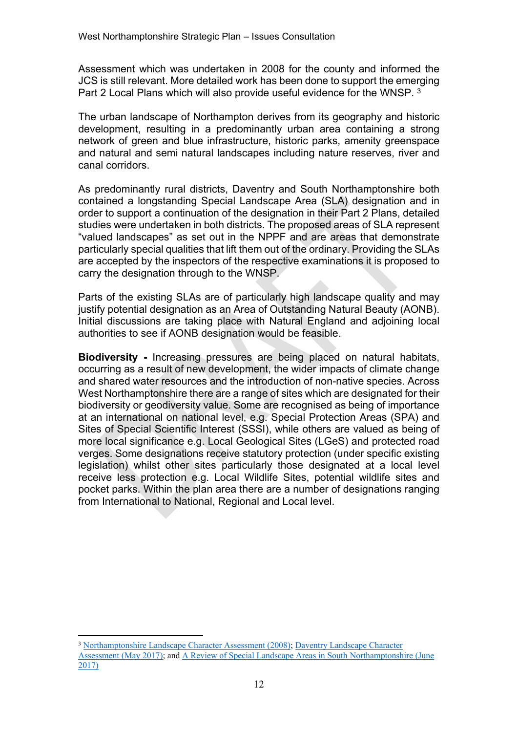Assessment which was undertaken in 2008 for the county and informed the JCS is still relevant. More detailed work has been done to support the emerging Part 2 Local Plans which will also provide useful evidence for the WNSP. <sup>3</sup>

The urban landscape of Northampton derives from its geography and historic development, resulting in a predominantly urban area containing a strong network of green and blue infrastructure, historic parks, amenity greenspace and natural and semi natural landscapes including nature reserves, river and canal corridors.

As predominantly rural districts, Daventry and South Northamptonshire both contained a longstanding Special Landscape Area (SLA) designation and in order to support a continuation of the designation in their Part 2 Plans, detailed studies were undertaken in both districts. The proposed areas of SLA represent "valued landscapes" as set out in the NPPF and are areas that demonstrate particularly special qualities that lift them out of the ordinary. Providing the SLAs are accepted by the inspectors of the respective examinations it is proposed to carry the designation through to the WNSP.

Parts of the existing SLAs are of particularly high landscape quality and may justify potential designation as an Area of Outstanding Natural Beauty (AONB). Initial discussions are taking place with Natural England and adjoining local authorities to see if AONB designation would be feasible.

**Biodiversity -** Increasing pressures are being placed on natural habitats, occurring as a result of new development, the wider impacts of climate change and shared water resources and the introduction of non-native species. Across West Northamptonshire there are a range of sites which are designated for their biodiversity or geodiversity value. Some are recognised as being of importance at an international on national level, e.g. Special Protection Areas (SPA) and Sites of Special Scientific Interest (SSSI), while others are valued as being of more local significance e.g. Local Geological Sites (LGeS) and protected road verges. Some designations receive statutory protection (under specific existing legislation) whilst other sites particularly those designated at a local level receive less protection e.g. Local Wildlife Sites, potential wildlife sites and pocket parks. Within the plan area there are a number of designations ranging from International to National, Regional and Local level.

<sup>3</sup> [Northamptonshire](http://www.rnrpenvironmentalcharacter.org.uk/data/4.1%20CLCA.pdf) Landscape Character Assessment (2008); Daventry [Landscape](https://www.daventrydc.gov.uk/living/planning-policy/part-2-local-plan/evidence-base/) Character [Assessment](https://www.daventrydc.gov.uk/living/planning-policy/part-2-local-plan/evidence-base/) (May 2017); and A Review of Special Landscape Areas in South [Northamptonshire](https://www.southnorthants.gov.uk/downloads/download/485/landscape-evidence) (June [2017\)](https://www.southnorthants.gov.uk/downloads/download/485/landscape-evidence)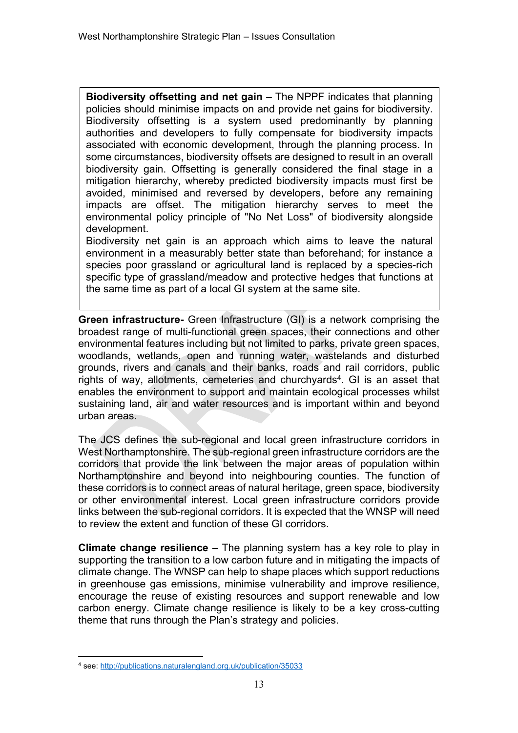**Biodiversity offsetting and net gain –** The NPPF indicates that planning policies should minimise impacts on and provide net gains for biodiversity. Biodiversity offsetting is a system used predominantly by planning authorities and developers to fully compensate for biodiversity impacts associated with economic development, through the planning process. In some circumstances, biodiversity offsets are designed to result in an overall biodiversity gain. Offsetting is generally considered the final stage in a mitigation hierarchy, whereby predicted biodiversity impacts must first be avoided, minimised and reversed by developers, before any remaining impacts are offset. The mitigation hierarchy serves to meet the environmental policy principle of "No Net Loss" of biodiversity alongside development.

Biodiversity net gain is an approach which aims to leave the natural environment in a measurably better state than beforehand; for instance a species poor grassland or agricultural land is replaced by a species-rich specific type of grassland/meadow and protective hedges that functions at the same time as part of a local GI system at the same site.

**Green infrastructure-** Green Infrastructure (GI) is a network comprising the broadest range of multi-functional green spaces, their connections and other environmental features including but not limited to parks, private green spaces, woodlands, wetlands, open and running water, wastelands and disturbed grounds, rivers and canals and their banks, roads and rail corridors, public rights of way, allotments, cemeteries and churchyards<sup>4</sup>. GI is an asset that enables the environment to support and maintain ecological processes whilst sustaining land, air and water resources and is important within and beyond urban areas.

The JCS defines the sub-regional and local green infrastructure corridors in West Northamptonshire. The sub-regional green infrastructure corridors are the corridors that provide the link between the major areas of population within Northamptonshire and beyond into neighbouring counties. The function of these corridors is to connect areas of natural heritage, green space, biodiversity or other environmental interest. Local green infrastructure corridors provide links between the sub-regional corridors. It is expected that the WNSP will need to review the extent and function of these GI corridors.

**Climate change resilience –** The planning system has a key role to play in supporting the transition to a low carbon future and in mitigating the impacts of climate change. The WNSP can help to shape places which support reductions in greenhouse gas emissions, minimise vulnerability and improve resilience, encourage the reuse of existing resources and support renewable and low carbon energy. Climate change resilience is likely to be a key cross-cutting theme that runs through the Plan's strategy and policies.

<sup>4</sup> see: <http://publications.naturalengland.org.uk/publication/35033>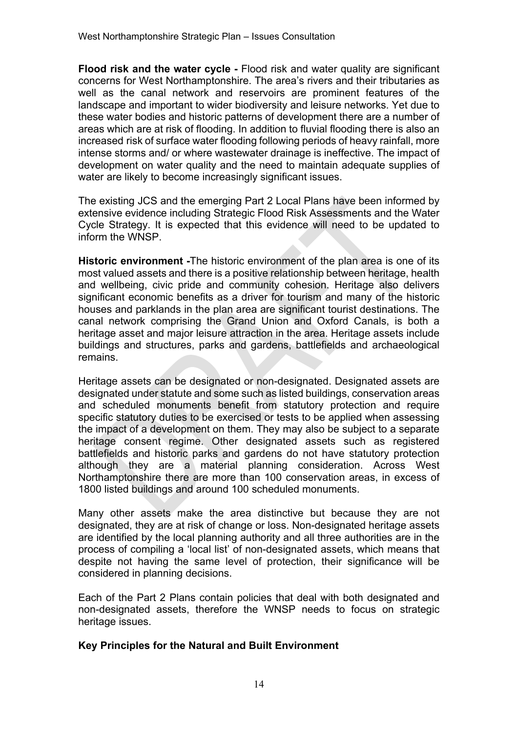**Flood risk and the water cycle -** Flood risk and water quality are significant concerns for West Northamptonshire. The area's rivers and their tributaries as well as the canal network and reservoirs are prominent features of the landscape and important to wider biodiversity and leisure networks. Yet due to these water bodies and historic patterns of development there are a number of areas which are at risk of flooding. In addition to fluvial flooding there is also an increased risk of surface water flooding following periods of heavy rainfall, more intense storms and/ or where wastewater drainage is ineffective. The impact of development on water quality and the need to maintain adequate supplies of water are likely to become increasingly significant issues.

The existing JCS and the emerging Part 2 Local Plans have been informed by extensive evidence including Strategic Flood Risk Assessments and the Water Cycle Strategy. It is expected that this evidence will need to be updated to inform the WNSP.

**Historic environment -**The historic environment of the plan area is one of its most valued assets and there is a positive relationship between heritage, health and wellbeing, civic pride and community cohesion. Heritage also delivers significant economic benefits as a driver for tourism and many of the historic houses and parklands in the plan area are significant tourist destinations. The canal network comprising the Grand Union and Oxford Canals, is both a heritage asset and major leisure attraction in the area. Heritage assets include buildings and structures, parks and gardens, battlefields and archaeological remains.

Heritage assets can be designated or non-designated. Designated assets are designated under statute and some such as listed buildings, conservation areas and scheduled monuments benefit from statutory protection and require specific statutory duties to be exercised or tests to be applied when assessing the impact of a development on them. They may also be subject to a separate heritage consent regime. Other designated assets such as registered battlefields and historic parks and gardens do not have statutory protection although they are a material planning consideration. Across West Northamptonshire there are more than 100 conservation areas, in excess of 1800 listed buildings and around 100 scheduled monuments.

Many other assets make the area distinctive but because they are not designated, they are at risk of change or loss. Non-designated heritage assets are identified by the local planning authority and all three authorities are in the process of compiling a 'local list' of non-designated assets, which means that despite not having the same level of protection, their significance will be considered in planning decisions.

Each of the Part 2 Plans contain policies that deal with both designated and non-designated assets, therefore the WNSP needs to focus on strategic heritage issues.

## **Key Principles for the Natural and Built Environment**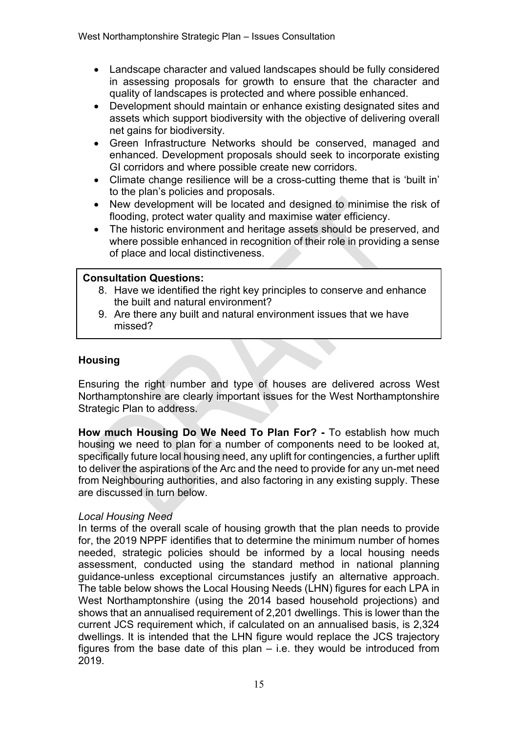- Landscape character and valued landscapes should be fully considered in assessing proposals for growth to ensure that the character and quality of landscapes is protected and where possible enhanced.
- Development should maintain or enhance existing designated sites and assets which support biodiversity with the objective of delivering overall net gains for biodiversity.
- Green Infrastructure Networks should be conserved, managed and enhanced. Development proposals should seek to incorporate existing GI corridors and where possible create new corridors.
- Climate change resilience will be a cross-cutting theme that is 'built in' to the plan's policies and proposals.
- New development will be located and designed to minimise the risk of flooding, protect water quality and maximise water efficiency.
- The historic environment and heritage assets should be preserved, and where possible enhanced in recognition of their role in providing a sense of place and local distinctiveness.

## **Consultation Questions:**

- 8. Have we identified the right key principles to conserve and enhance the built and natural environment?
- 9. Are there any built and natural environment issues that we have missed?

## **Housing**

Ensuring the right number and type of houses are delivered across West Northamptonshire are clearly important issues for the West Northamptonshire Strategic Plan to address.

**How much Housing Do We Need To Plan For? -** To establish how much housing we need to plan for a number of components need to be looked at, specifically future local housing need, any uplift for contingencies, a further uplift to deliver the aspirations of the Arc and the need to provide for any un-met need from Neighbouring authorities, and also factoring in any existing supply. These are discussed in turn below.

## *Local Housing Need*

In terms of the overall scale of housing growth that the plan needs to provide for, the 2019 NPPF identifies that to determine the minimum number of homes needed, strategic policies should be informed by a local housing needs assessment, conducted using the standard method in national planning guidance-unless exceptional circumstances justify an alternative approach. The table below shows the Local Housing Needs (LHN) figures for each LPA in West Northamptonshire (using the 2014 based household projections) and shows that an annualised requirement of 2,201 dwellings. This is lower than the current JCS requirement which, if calculated on an annualised basis, is 2,324 dwellings. It is intended that the LHN figure would replace the JCS trajectory figures from the base date of this plan  $-$  i.e. they would be introduced from 2019.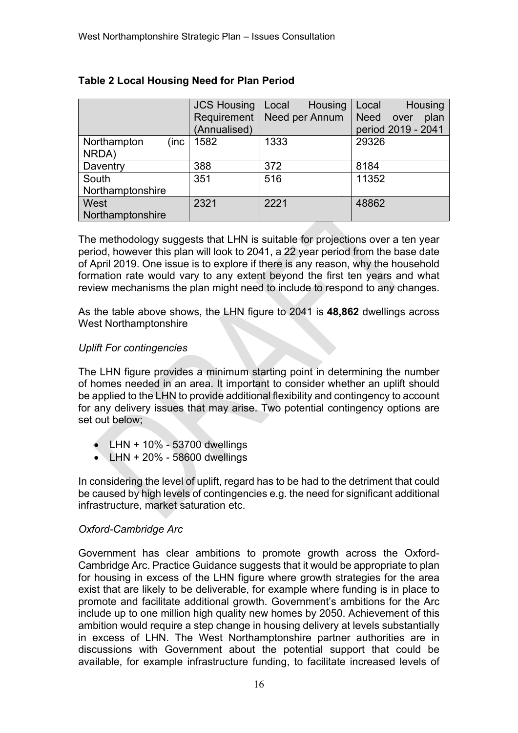|                     | <b>JCS Housing</b> | Housing<br>Local | Housing<br>Local            |
|---------------------|--------------------|------------------|-----------------------------|
|                     | Requirement        | Need per Annum   | <b>Need</b><br>plan<br>over |
|                     | (Annualised)       |                  | period 2019 - 2041          |
| Northampton<br>(inc | 1582               | 1333             | 29326                       |
| NRDA)               |                    |                  |                             |
| Daventry            | 388                | 372              | 8184                        |
| South               | 351                | 516              | 11352                       |
| Northamptonshire    |                    |                  |                             |
| West                | 2321               | 2221             | 48862                       |
| Northamptonshire    |                    |                  |                             |

## **Table 2 Local Housing Need for Plan Period**

The methodology suggests that LHN is suitable for projections over a ten year period, however this plan will look to 2041, a 22 year period from the base date of April 2019. One issue is to explore if there is any reason, why the household formation rate would vary to any extent beyond the first ten years and what review mechanisms the plan might need to include to respond to any changes.

As the table above shows, the LHN figure to 2041 is **48,862** dwellings across West Northamptonshire

## *Uplift For contingencies*

The LHN figure provides a minimum starting point in determining the number of homes needed in an area. It important to consider whether an uplift should be applied to the LHN to provide additional flexibility and contingency to account for any delivery issues that may arise. Two potential contingency options are set out below;

- $\bullet$  LHN + 10% 53700 dwellings
- $\bullet$  LHN + 20% 58600 dwellings

In considering the level of uplift, regard has to be had to the detriment that could be caused by high levels of contingencies e.g. the need for significant additional infrastructure, market saturation etc.

## *Oxford-Cambridge Arc*

Government has clear ambitions to promote growth across the Oxford-Cambridge Arc. Practice Guidance suggests that it would be appropriate to plan for housing in excess of the LHN figure where growth strategies for the area exist that are likely to be deliverable, for example where funding is in place to promote and facilitate additional growth. Government's ambitions for the Arc include up to one million high quality new homes by 2050. Achievement of this ambition would require a step change in housing delivery at levels substantially in excess of LHN. The West Northamptonshire partner authorities are in discussions with Government about the potential support that could be available, for example infrastructure funding, to facilitate increased levels of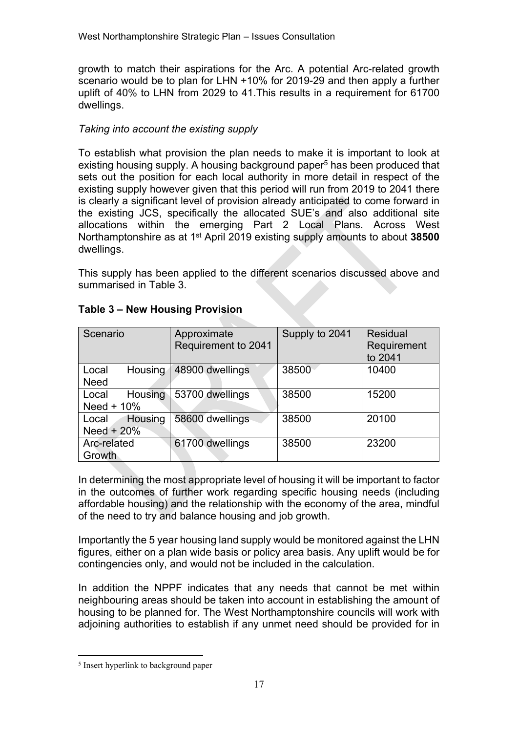growth to match their aspirations for the Arc. A potential Arc-related growth scenario would be to plan for LHN +10% for 2019-29 and then apply a further uplift of 40% to LHN from 2029 to 41.This results in a requirement for 61700 dwellings.

# *Taking into account the existing supply*

To establish what provision the plan needs to make it is important to look at existing housing supply. A housing background paper<sup>5</sup> has been produced that sets out the position for each local authority in more detail in respect of the existing supply however given that this period will run from 2019 to 2041 there is clearly a significant level of provision already anticipated to come forward in the existing JCS, specifically the allocated SUE's and also additional site allocations within the emerging Part 2 Local Plans. Across West Northamptonshire as at 1<sup>st</sup> April 2019 existing supply amounts to about 38500 dwellings.

This supply has been applied to the different scenarios discussed above and summarised in Table 3.

| Scenario                | Approximate<br>Requirement to 2041 | Supply to 2041 | <b>Residual</b><br>Requirement<br>to 2041 |
|-------------------------|------------------------------------|----------------|-------------------------------------------|
| Housing<br>Local        | 48900 dwellings                    | 38500          | 10400                                     |
| <b>Need</b>             |                                    |                |                                           |
| <b>Housing</b><br>Local | 53700 dwellings                    | 38500          | 15200                                     |
| Need $+10%$             |                                    |                |                                           |
| Housing<br>Local        | 58600 dwellings                    | 38500          | 20100                                     |
| Need $+20%$             |                                    |                |                                           |
| Arc-related             | 61700 dwellings                    | 38500          | 23200                                     |
| Growth                  |                                    |                |                                           |

# **Table 3 – New Housing Provision**

In determining the most appropriate level of housing it will be important to factor in the outcomes of further work regarding specific housing needs (including affordable housing) and the relationship with the economy of the area, mindful of the need to try and balance housing and job growth.

Importantly the 5 year housing land supply would be monitored against the LHN figures, either on a plan wide basis or policy area basis. Any uplift would be for contingencies only, and would not be included in the calculation.

In addition the NPPF indicates that any needs that cannot be met within neighbouring areas should be taken into account in establishing the amount of housing to be planned for. The West Northamptonshire councils will work with adjoining authorities to establish if any unmet need should be provided for in

<sup>5</sup> Insert hyperlink to background paper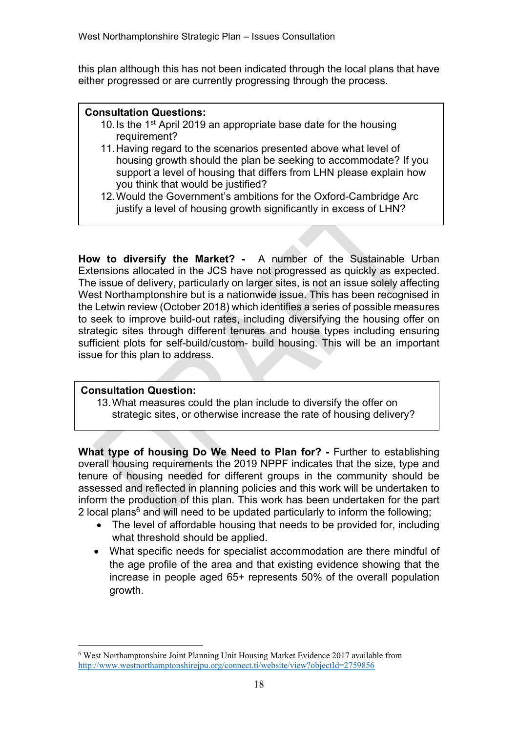this plan although this has not been indicated through the local plans that have either progressed or are currently progressing through the process.

## **Consultation Questions:**

- 10. Is the 1<sup>st</sup> April 2019 an appropriate base date for the housing requirement?
- 11.Having regard to the scenarios presented above what level of housing growth should the plan be seeking to accommodate? If you support a level of housing that differs from LHN please explain how you think that would be justified?
- 12.Would the Government's ambitions for the Oxford-Cambridge Arc justify a level of housing growth significantly in excess of LHN?

**How to diversify the Market? -** A number of the Sustainable Urban Extensions allocated in the JCS have not progressed as quickly as expected. The issue of delivery, particularly on larger sites, is not an issue solely affecting West Northamptonshire but is a nationwide issue. This has been recognised in the Letwin review (October 2018) which identifies a series of possible measures to seek to improve build-out rates, including diversifying the housing offer on strategic sites through different tenures and house types including ensuring sufficient plots for self-build/custom- build housing. This will be an important issue for this plan to address.

## **Consultation Question:**

13.What measures could the plan include to diversify the offer on strategic sites, or otherwise increase the rate of housing delivery?

**What type of housing Do We Need to Plan for? -** Further to establishing overall housing requirements the 2019 NPPF indicates that the size, type and tenure of housing needed for different groups in the community should be assessed and reflected in planning policies and this work will be undertaken to inform the production of this plan. This work has been undertaken for the part 2 local plans<sup>6</sup> and will need to be updated particularly to inform the following;

- The level of affordable housing that needs to be provided for, including what threshold should be applied.
- What specific needs for specialist accommodation are there mindful of the age profile of the area and that existing evidence showing that the increase in people aged 65+ represents 50% of the overall population growth.

<sup>6</sup> West Northamptonshire Joint Planning Unit Housing Market Evidence 2017 available from <http://www.westnorthamptonshirejpu.org/connect.ti/website/view?objectId=2759856>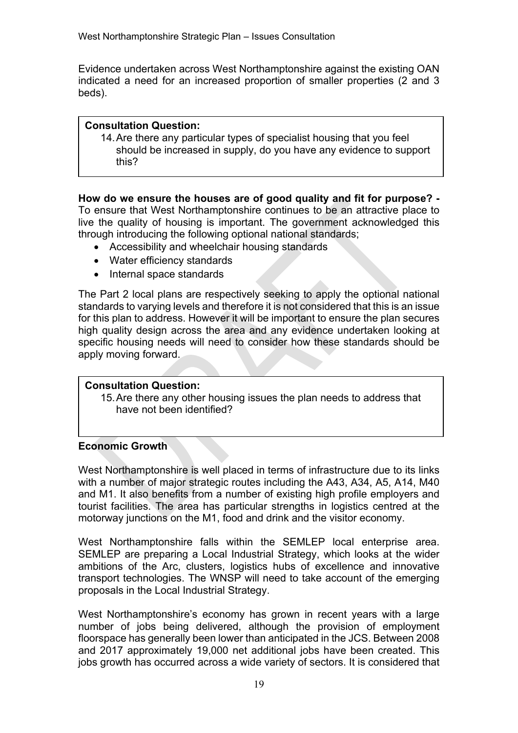Evidence undertaken across West Northamptonshire against the existing OAN indicated a need for an increased proportion of smaller properties (2 and 3 beds).

## **Consultation Question:**

14.Are there any particular types of specialist housing that you feel should be increased in supply, do you have any evidence to support this?

# **How do we ensure the houses are of good quality and fit for purpose? -**

To ensure that West Northamptonshire continues to be an attractive place to live the quality of housing is important. The government acknowledged this through introducing the following optional national standards;

- Accessibility and wheelchair housing standards
- Water efficiency standards
- Internal space standards

The Part 2 local plans are respectively seeking to apply the optional national standards to varying levels and therefore it is not considered that this is an issue for this plan to address. However it will be important to ensure the plan secures high quality design across the area and any evidence undertaken looking at specific housing needs will need to consider how these standards should be apply moving forward.

## **Consultation Question:**

15.Are there any other housing issues the plan needs to address that have not been identified?

## **Economic Growth**

West Northamptonshire is well placed in terms of infrastructure due to its links with a number of major strategic routes including the A43, A34, A5, A14, M40 and M1. It also benefits from a number of existing high profile employers and tourist facilities. The area has particular strengths in logistics centred at the motorway junctions on the M1, food and drink and the visitor economy.

West Northamptonshire falls within the SEMLEP local enterprise area. SEMLEP are preparing a Local Industrial Strategy, which looks at the wider ambitions of the Arc, clusters, logistics hubs of excellence and innovative transport technologies. The WNSP will need to take account of the emerging proposals in the Local Industrial Strategy.

West Northamptonshire's economy has grown in recent years with a large number of jobs being delivered, although the provision of employment floorspace has generally been lower than anticipated in the JCS. Between 2008 and 2017 approximately 19,000 net additional jobs have been created. This jobs growth has occurred across a wide variety of sectors. It is considered that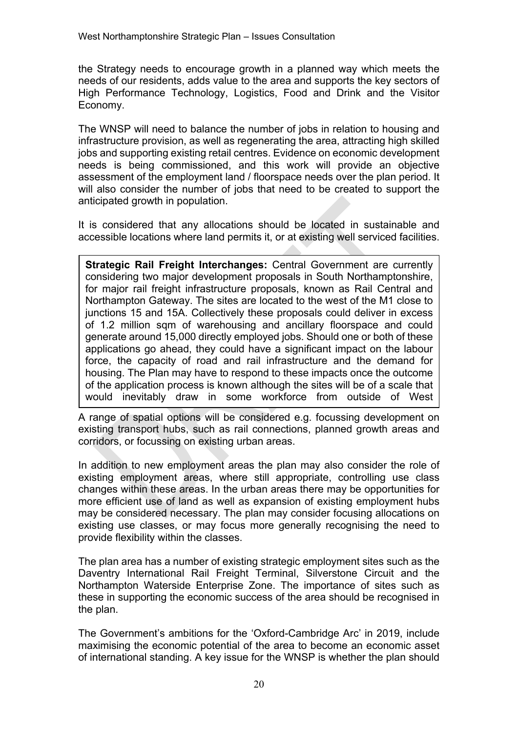the Strategy needs to encourage growth in a planned way which meets the needs of our residents, adds value to the area and supports the key sectors of High Performance Technology, Logistics, Food and Drink and the Visitor Economy.

The WNSP will need to balance the number of jobs in relation to housing and infrastructure provision, as well as regenerating the area, attracting high skilled jobs and supporting existing retail centres. Evidence on economic development needs is being commissioned, and this work will provide an objective assessment of the employment land / floorspace needs over the plan period. It will also consider the number of jobs that need to be created to support the anticipated growth in population.

It is considered that any allocations should be located in sustainable and accessible locations where land permits it, or at existing well serviced facilities.

**Strategic Rail Freight Interchanges:** Central Government are currently considering two major development proposals in South Northamptonshire, for major rail freight infrastructure proposals, known as Rail Central and Northampton Gateway. The sites are located to the west of the M1 close to junctions 15 and 15A. Collectively these proposals could deliver in excess of 1.2 million sqm of warehousing and ancillary floorspace and could generate around 15,000 directly employed jobs. Should one or both of these applications go ahead, they could have a significant impact on the labour force, the capacity of road and rail infrastructure and the demand for housing. The Plan may have to respond to these impacts once the outcome of the application process is known although the sites will be of a scale that would inevitably draw in some workforce from outside of West

A range of spatial options will be considered e.g. focussing development on existing transport hubs, such as rail connections, planned growth areas and corridors, or focussing on existing urban areas.  $\overline{\phantom{a}}$ 

In addition to new employment areas the plan may also consider the role of existing employment areas, where still appropriate, controlling use class changes within these areas. In the urban areas there may be opportunities for more efficient use of land as well as expansion of existing employment hubs may be considered necessary. The plan may consider focusing allocations on existing use classes, or may focus more generally recognising the need to provide flexibility within the classes.

The plan area has a number of existing strategic employment sites such as the Daventry International Rail Freight Terminal, Silverstone Circuit and the Northampton Waterside Enterprise Zone. The importance of sites such as these in supporting the economic success of the area should be recognised in the plan.

The Government's ambitions for the 'Oxford-Cambridge Arc' in 2019, include maximising the economic potential of the area to become an economic asset of international standing. A key issue for the WNSP is whether the plan should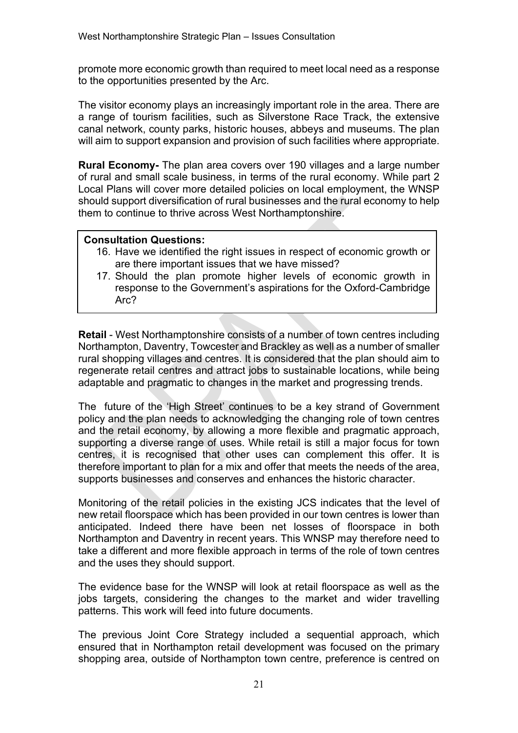promote more economic growth than required to meet local need as a response to the opportunities presented by the Arc.

The visitor economy plays an increasingly important role in the area. There are a range of tourism facilities, such as Silverstone Race Track, the extensive canal network, county parks, historic houses, abbeys and museums. The plan will aim to support expansion and provision of such facilities where appropriate.

**Rural Economy-** The plan area covers over 190 villages and a large number of rural and small scale business, in terms of the rural economy. While part 2 Local Plans will cover more detailed policies on local employment, the WNSP should support diversification of rural businesses and the rural economy to help them to continue to thrive across West Northamptonshire.

## **Consultation Questions:**

- 16. Have we identified the right issues in respect of economic growth or are there important issues that we have missed?
- 17. Should the plan promote higher levels of economic growth in response to the Government's aspirations for the Oxford-Cambridge Arc?

**Retail** - West Northamptonshire consists of a number of town centres including Northampton, Daventry, Towcester and Brackley as well as a number of smaller rural shopping villages and centres. It is considered that the plan should aim to regenerate retail centres and attract jobs to sustainable locations, while being adaptable and pragmatic to changes in the market and progressing trends.

The future of the 'High Street' continues to be a key strand of Government policy and the plan needs to acknowledging the changing role of town centres and the retail economy, by allowing a more flexible and pragmatic approach, supporting a diverse range of uses. While retail is still a major focus for town centres, it is recognised that other uses can complement this offer. It is therefore important to plan for a mix and offer that meets the needs of the area, supports businesses and conserves and enhances the historic character.

Monitoring of the retail policies in the existing JCS indicates that the level of new retail floorspace which has been provided in our town centres is lower than anticipated. Indeed there have been net losses of floorspace in both Northampton and Daventry in recent years. This WNSP may therefore need to take a different and more flexible approach in terms of the role of town centres and the uses they should support.

The evidence base for the WNSP will look at retail floorspace as well as the jobs targets, considering the changes to the market and wider travelling patterns. This work will feed into future documents.

The previous Joint Core Strategy included a sequential approach, which ensured that in Northampton retail development was focused on the primary shopping area, outside of Northampton town centre, preference is centred on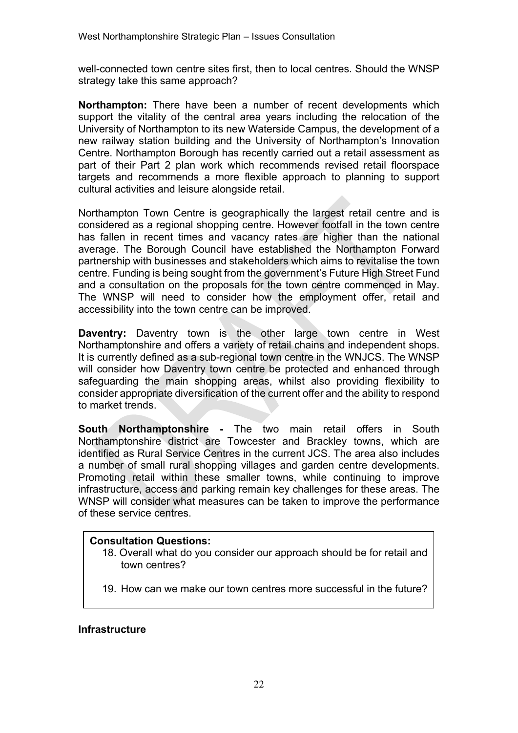well-connected town centre sites first, then to local centres. Should the WNSP strategy take this same approach?

**Northampton:** There have been a number of recent developments which support the vitality of the central area years including the relocation of the University of Northampton to its new Waterside Campus, the development of a new railway station building and the University of Northampton's Innovation Centre. Northampton Borough has recently carried out a retail assessment as part of their Part 2 plan work which recommends revised retail floorspace targets and recommends a more flexible approach to planning to support cultural activities and leisure alongside retail.

Northampton Town Centre is geographically the largest retail centre and is considered as a regional shopping centre. However footfall in the town centre has fallen in recent times and vacancy rates are higher than the national average. The Borough Council have established the Northampton Forward partnership with businesses and stakeholders which aims to revitalise the town centre. Funding is being sought from the government's Future High Street Fund and a consultation on the proposals for the town centre commenced in May. The WNSP will need to consider how the employment offer, retail and accessibility into the town centre can be improved.

**Daventry:** Daventry town is the other large town centre in West Northamptonshire and offers a variety of retail chains and independent shops. It is currently defined as a sub-regional town centre in the WNJCS. The WNSP will consider how Daventry town centre be protected and enhanced through safeguarding the main shopping areas, whilst also providing flexibility to consider appropriate diversification of the current offer and the ability to respond to market trends.

**South Northamptonshire -** The two main retail offers in South Northamptonshire district are Towcester and Brackley towns, which are identified as Rural Service Centres in the current JCS. The area also includes a number of small rural shopping villages and garden centre developments. Promoting retail within these smaller towns, while continuing to improve infrastructure, access and parking remain key challenges for these areas. The WNSP will consider what measures can be taken to improve the performance of these service centres.

## **Consultation Questions:**

- 18. Overall what do you consider our approach should be for retail and town centres?
- 19. How can we make our town centres more successful in the future?

#### **Infrastructure**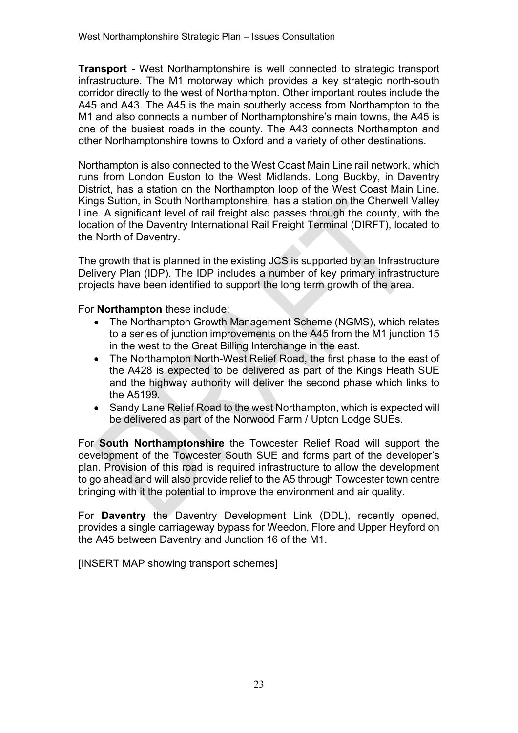**Transport -** West Northamptonshire is well connected to strategic transport infrastructure. The M1 motorway which provides a key strategic north-south corridor directly to the west of Northampton. Other important routes include the A45 and A43. The A45 is the main southerly access from Northampton to the M1 and also connects a number of Northamptonshire's main towns, the A45 is one of the busiest roads in the county. The A43 connects Northampton and other Northamptonshire towns to Oxford and a variety of other destinations.

Northampton is also connected to the West Coast Main Line rail network, which runs from London Euston to the West Midlands. Long Buckby, in Daventry District, has a station on the Northampton loop of the West Coast Main Line. Kings Sutton, in South Northamptonshire, has a station on the Cherwell Valley Line. A significant level of rail freight also passes through the county, with the location of the Daventry International Rail Freight Terminal (DIRFT), located to the North of Daventry.

The growth that is planned in the existing JCS is supported by an Infrastructure Delivery Plan (IDP). The IDP includes a number of key primary infrastructure projects have been identified to support the long term growth of the area.

For **Northampton** these include:

- The Northampton Growth Management Scheme (NGMS), which relates to a series of junction improvements on the A45 from the M1 junction 15 in the west to the Great Billing Interchange in the east.
- The Northampton North-West Relief Road, the first phase to the east of the A428 is expected to be delivered as part of the Kings Heath SUE and the highway authority will deliver the second phase which links to the A5199.
- Sandy Lane Relief Road to the west Northampton, which is expected will be delivered as part of the Norwood Farm / Upton Lodge SUEs.

For **South Northamptonshire** the Towcester Relief Road will support the development of the Towcester South SUE and forms part of the developer's plan. Provision of this road is required infrastructure to allow the development to go ahead and will also provide relief to the A5 through Towcester town centre bringing with it the potential to improve the environment and air quality.

For **Daventry** the Daventry Development Link (DDL), recently opened, provides a single carriageway bypass for Weedon, Flore and Upper Heyford on the A45 between Daventry and Junction 16 of the M1.

[INSERT MAP showing transport schemes]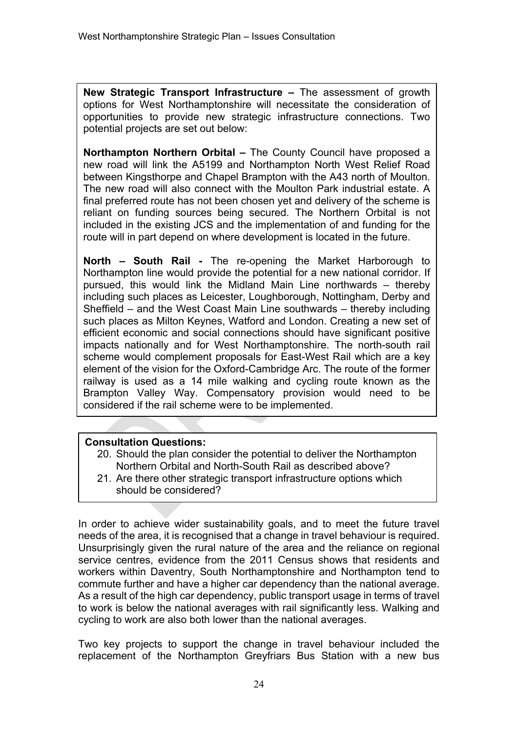**New Strategic Transport Infrastructure –** The assessment of growth options for West Northamptonshire will necessitate the consideration of opportunities to provide new strategic infrastructure connections. Two potential projects are set out below:

**Northampton Northern Orbital –** The County Council have proposed a new road will link the A5199 and Northampton North West Relief Road between Kingsthorpe and Chapel Brampton with the A43 north of Moulton. The new road will also connect with the Moulton Park industrial estate. A final preferred route has not been chosen yet and delivery of the scheme is reliant on funding sources being secured. The Northern Orbital is not included in the existing JCS and the implementation of and funding for the route will in part depend on where development is located in the future.

**North – South Rail -** The re-opening the Market Harborough to Northampton line would provide the potential for a new national corridor. If pursued, this would link the Midland Main Line northwards – thereby including such places as Leicester, Loughborough, Nottingham, Derby and Sheffield – and the West Coast Main Line southwards – thereby including such places as Milton Keynes, Watford and London. Creating a new set of efficient economic and social connections should have significant positive impacts nationally and for West Northamptonshire. The north-south rail scheme would complement proposals for East-West Rail which are a key element of the vision for the Oxford-Cambridge Arc. The route of the former railway is used as a 14 mile walking and cycling route known as the Brampton Valley Way. Compensatory provision would need to be considered if the rail scheme were to be implemented.

## **Consultation Questions:**

- 20. Should the plan consider the potential to deliver the Northampton Northern Orbital and North-South Rail as described above?
- 21. Are there other strategic transport infrastructure options which should be considered?

In order to achieve wider sustainability goals, and to meet the future travel needs of the area, it is recognised that a change in travel behaviour is required. Unsurprisingly given the rural nature of the area and the reliance on regional service centres, evidence from the 2011 Census shows that residents and workers within Daventry, South Northamptonshire and Northampton tend to commute further and have a higher car dependency than the national average. As a result of the high car dependency, public transport usage in terms of travel to work is below the national averages with rail significantly less. Walking and cycling to work are also both lower than the national averages.

Two key projects to support the change in travel behaviour included the replacement of the Northampton Greyfriars Bus Station with a new bus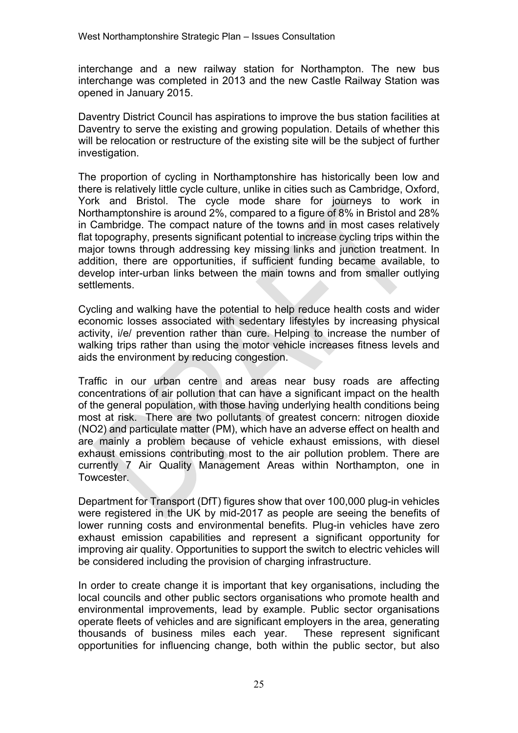interchange and a new railway station for Northampton. The new bus interchange was completed in 2013 and the new Castle Railway Station was opened in January 2015.

Daventry District Council has aspirations to improve the bus station facilities at Daventry to serve the existing and growing population. Details of whether this will be relocation or restructure of the existing site will be the subject of further investigation.

The proportion of cycling in Northamptonshire has historically been low and there is relatively little cycle culture, unlike in cities such as Cambridge, Oxford, York and Bristol. The cycle mode share for journeys to work in Northamptonshire is around 2%, compared to a figure of 8% in Bristol and 28% in Cambridge. The compact nature of the towns and in most cases relatively flat topography, presents significant potential to increase cycling trips within the major towns through addressing key missing links and junction treatment. In addition, there are opportunities, if sufficient funding became available, to develop inter-urban links between the main towns and from smaller outlying settlements.

Cycling and walking have the potential to help reduce health costs and wider economic losses associated with sedentary lifestyles by increasing physical activity, i/e/ prevention rather than cure. Helping to increase the number of walking trips rather than using the motor vehicle increases fitness levels and aids the environment by reducing congestion.

Traffic in our urban centre and areas near busy roads are affecting concentrations of air pollution that can have a significant impact on the health of the general population, with those having underlying health conditions being most at risk. There are two pollutants of greatest concern: nitrogen dioxide (NO2) and particulate matter (PM), which have an adverse effect on health and are mainly a problem because of vehicle exhaust emissions, with diesel exhaust emissions contributing most to the air pollution problem. There are currently 7 Air Quality Management Areas within Northampton, one in Towcester.

Department for Transport (DfT) figures show that over 100,000 plug-in vehicles were registered in the UK by mid-2017 as people are seeing the benefits of lower running costs and environmental benefits. Plug-in vehicles have zero exhaust emission capabilities and represent a significant opportunity for improving air quality. Opportunities to support the switch to electric vehicles will be considered including the provision of charging infrastructure.

In order to create change it is important that key organisations, including the local councils and other public sectors organisations who promote health and environmental improvements, lead by example. Public sector organisations operate fleets of vehicles and are significant employers in the area, generating thousands of business miles each year. These represent significant opportunities for influencing change, both within the public sector, but also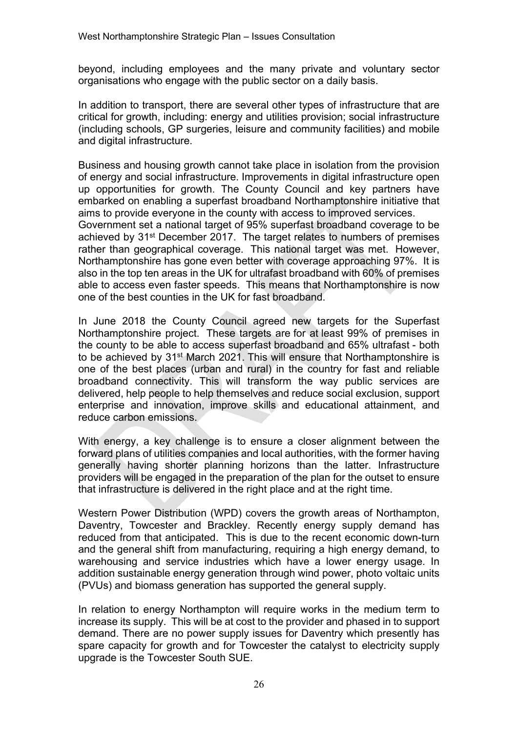beyond, including employees and the many private and voluntary sector organisations who engage with the public sector on a daily basis.

In addition to transport, there are several other types of infrastructure that are critical for growth, including: energy and utilities provision; social infrastructure (including schools, GP surgeries, leisure and community facilities) and mobile and digital infrastructure.

Business and housing growth cannot take place in isolation from the provision of energy and social infrastructure. Improvements in digital infrastructure open up opportunities for growth. The County Council and key partners have embarked on enabling a superfast broadband Northamptonshire initiative that aims to provide everyone in the county with access to improved services.

Government set a national target of 95% superfast broadband coverage to be achieved by 31st December 2017. The target relates to numbers of premises rather than geographical coverage. This national target was met. However, Northamptonshire has gone even better with coverage approaching 97%. It is also in the top ten areas in the UK for ultrafast broadband with 60% of premises able to access even faster speeds. This means that Northamptonshire is now one of the best counties in the UK for fast broadband.

In June 2018 the County Council agreed new targets for the Superfast Northamptonshire project. These targets are for at least 99% of premises in the county to be able to access superfast broadband and 65% ultrafast - both to be achieved by 31<sup>st</sup> March 2021. This will ensure that Northamptonshire is one of the best places (urban and rural) in the country for fast and reliable broadband connectivity. This will transform the way public services are delivered, help people to help themselves and reduce social exclusion, support enterprise and innovation, improve skills and educational attainment, and reduce carbon emissions.

With energy, a key challenge is to ensure a closer alignment between the forward plans of utilities companies and local authorities, with the former having generally having shorter planning horizons than the latter. Infrastructure providers will be engaged in the preparation of the plan for the outset to ensure that infrastructure is delivered in the right place and at the right time.

Western Power Distribution (WPD) covers the growth areas of Northampton, Daventry, Towcester and Brackley. Recently energy supply demand has reduced from that anticipated. This is due to the recent economic down-turn and the general shift from manufacturing, requiring a high energy demand, to warehousing and service industries which have a lower energy usage. In addition sustainable energy generation through wind power, photo voltaic units (PVUs) and biomass generation has supported the general supply.

In relation to energy Northampton will require works in the medium term to increase its supply. This will be at cost to the provider and phased in to support demand. There are no power supply issues for Daventry which presently has spare capacity for growth and for Towcester the catalyst to electricity supply upgrade is the Towcester South SUE.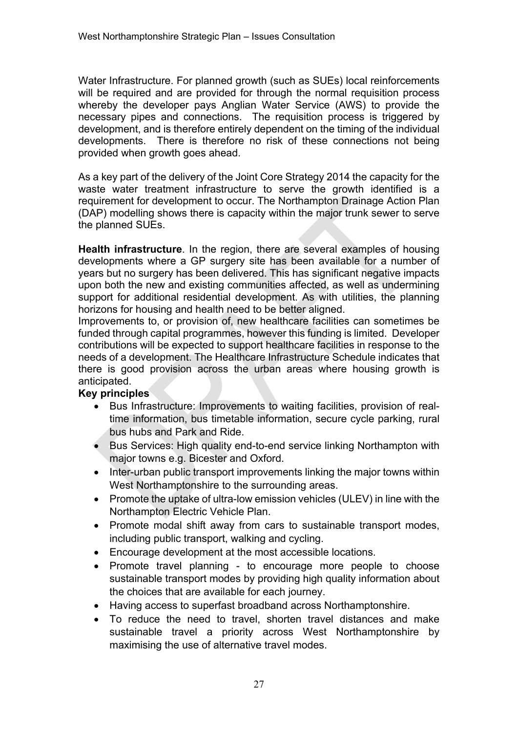Water Infrastructure. For planned growth (such as SUEs) local reinforcements will be required and are provided for through the normal requisition process whereby the developer pays Anglian Water Service (AWS) to provide the necessary pipes and connections. The requisition process is triggered by development, and is therefore entirely dependent on the timing of the individual developments. There is therefore no risk of these connections not being provided when growth goes ahead.

As a key part of the delivery of the Joint Core Strategy 2014 the capacity for the waste water treatment infrastructure to serve the growth identified is a requirement for development to occur. The Northampton Drainage Action Plan (DAP) modelling shows there is capacity within the major trunk sewer to serve the planned SUEs.

**Health infrastructure**. In the region, there are several examples of housing developments where a GP surgery site has been available for a number of years but no surgery has been delivered. This has significant negative impacts upon both the new and existing communities affected, as well as undermining support for additional residential development. As with utilities, the planning horizons for housing and health need to be better aligned.

Improvements to, or provision of, new healthcare facilities can sometimes be funded through capital programmes, however this funding is limited. Developer contributions will be expected to support healthcare facilities in response to the needs of a development. The Healthcare Infrastructure Schedule indicates that there is good provision across the urban areas where housing growth is anticipated.

# **Key principles**

- Bus Infrastructure: Improvements to waiting facilities, provision of realtime information, bus timetable information, secure cycle parking, rural bus hubs and Park and Ride.
- Bus Services: High quality end-to-end service linking Northampton with major towns e.g. Bicester and Oxford.
- Inter-urban public transport improvements linking the major towns within West Northamptonshire to the surrounding areas.
- Promote the uptake of ultra-low emission vehicles (ULEV) in line with the Northampton Electric Vehicle Plan.
- Promote modal shift away from cars to sustainable transport modes, including public transport, walking and cycling.
- Encourage development at the most accessible locations.
- Promote travel planning to encourage more people to choose sustainable transport modes by providing high quality information about the choices that are available for each journey.
- Having access to superfast broadband across Northamptonshire.
- To reduce the need to travel, shorten travel distances and make sustainable travel a priority across West Northamptonshire by maximising the use of alternative travel modes.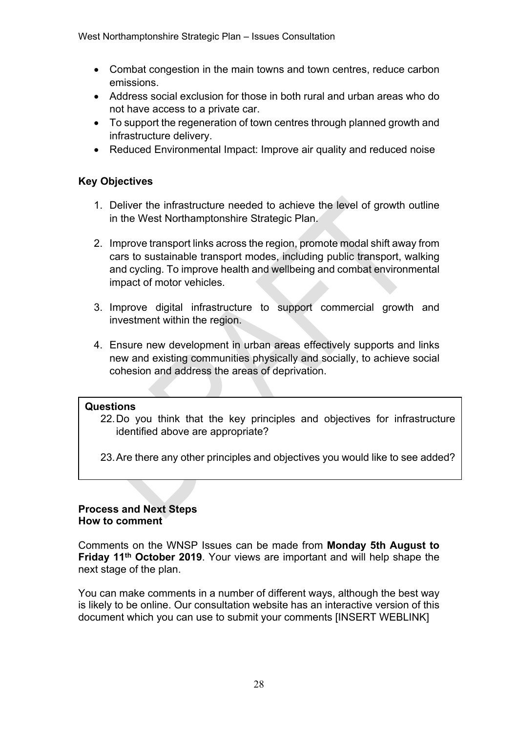- Combat congestion in the main towns and town centres, reduce carbon emissions.
- Address social exclusion for those in both rural and urban areas who do not have access to a private car.
- To support the regeneration of town centres through planned growth and infrastructure delivery.
- Reduced Environmental Impact: Improve air quality and reduced noise

# **Key Objectives**

- 1. Deliver the infrastructure needed to achieve the level of growth outline in the West Northamptonshire Strategic Plan.
- 2. Improve transport links across the region, promote modal shift away from cars to sustainable transport modes, including public transport, walking and cycling. To improve health and wellbeing and combat environmental impact of motor vehicles.
- 3. Improve digital infrastructure to support commercial growth and investment within the region.
- 4. Ensure new development in urban areas effectively supports and links new and existing communities physically and socially, to achieve social cohesion and address the areas of deprivation.

## **Questions**

- 22.Do you think that the key principles and objectives for infrastructure identified above are appropriate?
- 23.Are there any other principles and objectives you would like to see added?

## **Process and Next Steps How to comment**

Comments on the WNSP Issues can be made from **Monday 5th August to Friday 11th October 2019**. Your views are important and will help shape the next stage of the plan.

You can make comments in a number of different ways, although the best way is likely to be online. Our consultation website has an interactive version of this document which you can use to submit your comments [INSERT WEBLINK]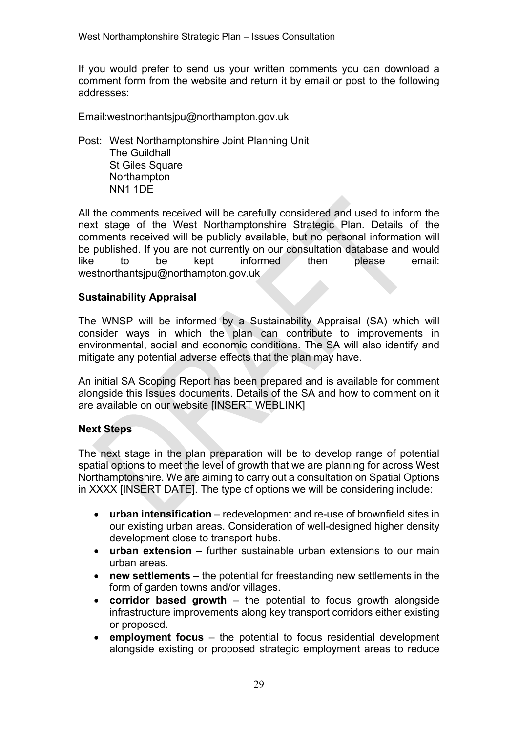If you would prefer to send us your written comments you can download a comment form from the website and return it by email or post to the following addresses:

Email:westnorthantsjpu@northampton.gov.uk

Post: West Northamptonshire Joint Planning Unit The Guildhall St Giles Square Northampton NN1 1DE

All the comments received will be carefully considered and used to inform the next stage of the West Northamptonshire Strategic Plan. Details of the comments received will be publicly available, but no personal information will be published. If you are not currently on our consultation database and would like to be kept informed then please email: westnorthantsjpu@northampton.gov.uk

## **Sustainability Appraisal**

The WNSP will be informed by a Sustainability Appraisal (SA) which will consider ways in which the plan can contribute to improvements in environmental, social and economic conditions. The SA will also identify and mitigate any potential adverse effects that the plan may have.

An initial SA Scoping Report has been prepared and is available for comment alongside this Issues documents. Details of the SA and how to comment on it are available on our website [INSERT WEBLINK]

## **Next Steps**

The next stage in the plan preparation will be to develop range of potential spatial options to meet the level of growth that we are planning for across West Northamptonshire. We are aiming to carry out a consultation on Spatial Options in XXXX [INSERT DATE]. The type of options we will be considering include:

- **urban intensification** redevelopment and re-use of brownfield sites in our existing urban areas. Consideration of well-designed higher density development close to transport hubs.
- **urban extension** further sustainable urban extensions to our main urban areas.
- **new settlements** the potential for freestanding new settlements in the form of garden towns and/or villages.
- **corridor based growth** the potential to focus growth alongside infrastructure improvements along key transport corridors either existing or proposed.
- **employment focus** the potential to focus residential development alongside existing or proposed strategic employment areas to reduce